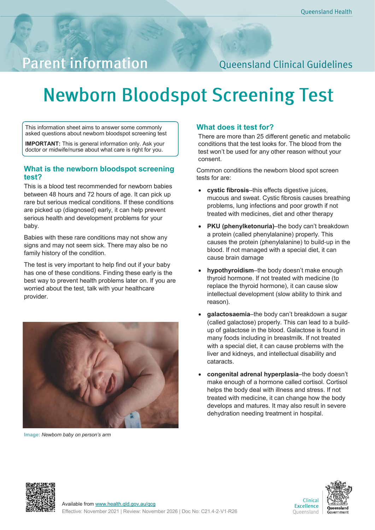## **Parent information**

### **Queensland Clinical Guidelines**

# **Newborn Bloodspot Screening Test**

This information sheet aims to answer some commonly asked questions about newborn bloodspot screening test

**IMPORTANT:** This is general information only. Ask your doctor or midwife/nurse about what care is right for you.

#### **What is the newborn bloodspot screening test?**

This is a blood test recommended for newborn babies between 48 hours and 72 hours of age. It can pick up rare but serious medical conditions. If these conditions are picked up (diagnosed) early, it can help prevent serious health and development problems for your baby.

Babies with these rare conditions may not show any signs and may not seem sick. There may also be no family history of the condition.

The test is very important to help find out if your baby has one of these conditions. Finding these early is the best way to prevent health problems later on. If you are worried about the test, talk with your healthcare provider.



**Image:** *Newborn baby on person's arm*

#### **What does it test for?**

There are more than 25 different genetic and metabolic conditions that the test looks for. The blood from the test won't be used for any other reason without your consent.

Common conditions the newborn blood spot screen tests for are:

- **cystic fibrosis**–this effects digestive juices, mucous and sweat. Cystic fibrosis causes breathing problems, lung infections and poor growth if not treated with medicines, diet and other therapy
- **PKU (phenylketonuria)–the body can't breakdown** a protein (called phenylalanine) properly. This causes the protein (phenylalanine) to build-up in the blood. If not managed with a special diet, it can cause brain damage
- **hypothyroidism**–the body doesn't make enough thyroid hormone. If not treated with medicine (to replace the thyroid hormone), it can cause slow intellectual development (slow ability to think and reason).
- **galactosaemia**–the body can't breakdown a sugar (called galactose) properly. This can lead to a buildup of galactose in the blood. Galactose is found in many foods including in breastmilk. If not treated with a special diet, it can cause problems with the liver and kidneys, and intellectual disability and cataracts.
- **congenital adrenal hyperplasia**–the body doesn't make enough of a hormone called cortisol. Cortisol helps the body deal with illness and stress. If not treated with medicine, it can change how the body develops and matures. It may also result in severe dehydration needing treatment in hospital.